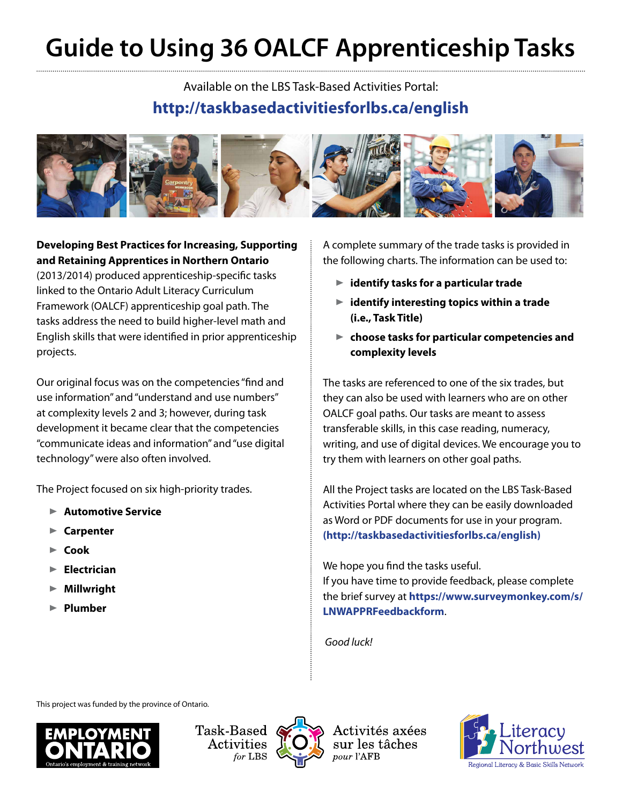## **Guide to Using 36 OALCF Apprenticeship Tasks**

Available on the LBS Task-Based Activities Portal: **http:/[/taskbasedactivitiesforlbs.ca/english](http://taskbasedactivitiesforlbs.ca/english)**



**Developing Best Practices for Increasing, Supporting and Retaining Apprentices in Northern Ontario** (2013/2014) produced apprenticeship-specific tasks linked to the Ontario Adult Literacy Curriculum Framework (OALCF) apprenticeship goal path. The tasks address the need to build higher-level math and English skills that were identified in prior apprenticeship projects.

Our original focus was on the competencies "find and use information" and "understand and use numbers" at complexity levels 2 and 3; however, during task development it became clear that the competencies "communicate ideas and information" and "use digital technology" were also often involved.

The Project focused on six high-priority trades.

- ® **Automotive Service**
- ® **Carpenter**
- ® **Cook**
- ® **Electrician**
- ® **Millwright**
- ® **Plumber**

A complete summary of the trade tasks is provided in the following charts. The information can be used to:

- ® **identify tasks for a particular trade**
- ® **identify interesting topics within a trade (i.e., Task Title)**
- ® **choose tasks for particular competencies and complexity levels**

The tasks are referenced to one of the six trades, but they can also be used with learners who are on other OALCF goal paths. Our tasks are meant to assess transferable skills, in this case reading, numeracy, writing, and use of digital devices. We encourage you to try them with learners on other goal paths.

All the Project tasks are located on the LBS Task-Based Activities Portal where they can be easily downloaded as Word or PDF documents for use in your program. **[\(http://taskbasedactivitiesforlbs.ca/english\)](http://taskbasedactivitiesforlbs.ca/english)**

We hope you find the tasks useful. If you have time to provide feedback, please complete the brief survey at **[https://www.surveymonkey.com/s/](https://www.surveymonkey.com/s/LNWAPPRFeedbackform) [LNWAPPRFeedbackform](https://www.surveymonkey.com/s/LNWAPPRFeedbackform)**.

 *Good luck!*

This project was funded by the province of Ontario.





Activités axées sur les tâches pour l'AFB

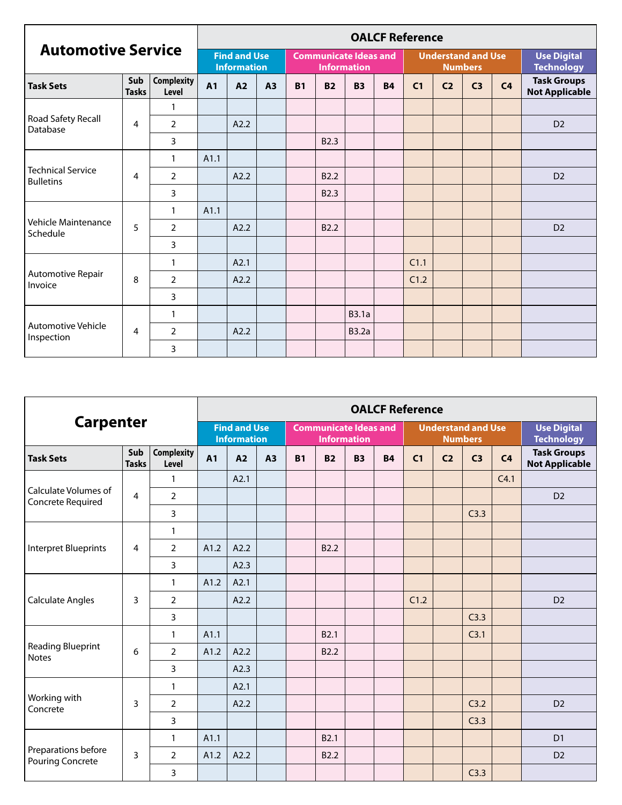| <b>Automotive Service</b>                    |                     |                            | <b>OALCF Reference</b>                    |      |    |           |                  |                                                    |           |                |                                             |                                         |                |                                             |  |
|----------------------------------------------|---------------------|----------------------------|-------------------------------------------|------|----|-----------|------------------|----------------------------------------------------|-----------|----------------|---------------------------------------------|-----------------------------------------|----------------|---------------------------------------------|--|
|                                              |                     |                            | <b>Find and Use</b><br><b>Information</b> |      |    |           |                  | <b>Communicate Ideas and</b><br><b>Information</b> |           |                | <b>Understand and Use</b><br><b>Numbers</b> | <b>Use Digital</b><br><b>Technology</b> |                |                                             |  |
| <b>Task Sets</b>                             | Sub<br><b>Tasks</b> | <b>Complexity</b><br>Level | <b>A1</b>                                 | A2   | A3 | <b>B1</b> | <b>B2</b>        | <b>B3</b>                                          | <b>B4</b> | C <sub>1</sub> | C <sub>2</sub>                              | C <sub>3</sub>                          | C <sub>4</sub> | <b>Task Groups</b><br><b>Not Applicable</b> |  |
|                                              |                     | 1                          |                                           |      |    |           |                  |                                                    |           |                |                                             |                                         |                |                                             |  |
| Road Safety Recall<br>Database               | 4                   | $\overline{2}$             |                                           | A2.2 |    |           |                  |                                                    |           |                |                                             |                                         |                | D <sub>2</sub>                              |  |
|                                              |                     | 3                          |                                           |      |    |           | B <sub>2.3</sub> |                                                    |           |                |                                             |                                         |                |                                             |  |
| <b>Technical Service</b><br><b>Bulletins</b> | $\overline{4}$      | $\mathbf{1}$               | A1.1                                      |      |    |           |                  |                                                    |           |                |                                             |                                         |                |                                             |  |
|                                              |                     | $\overline{2}$             |                                           | A2.2 |    |           | B <sub>2.2</sub> |                                                    |           |                |                                             |                                         |                | D <sub>2</sub>                              |  |
|                                              |                     | 3                          |                                           |      |    |           | B <sub>2.3</sub> |                                                    |           |                |                                             |                                         |                |                                             |  |
|                                              |                     | $\mathbf{1}$               | A1.1                                      |      |    |           |                  |                                                    |           |                |                                             |                                         |                |                                             |  |
| Vehicle Maintenance<br>Schedule              | 5                   | $\overline{2}$             |                                           | A2.2 |    |           | B <sub>2.2</sub> |                                                    |           |                |                                             |                                         |                | D <sub>2</sub>                              |  |
|                                              |                     | 3                          |                                           |      |    |           |                  |                                                    |           |                |                                             |                                         |                |                                             |  |
|                                              |                     | 1                          |                                           | A2.1 |    |           |                  |                                                    |           | C1.1           |                                             |                                         |                |                                             |  |
| Automotive Repair<br>Invoice                 | 8                   | $\overline{2}$             |                                           | A2.2 |    |           |                  |                                                    |           | C1.2           |                                             |                                         |                |                                             |  |
|                                              |                     | 3                          |                                           |      |    |           |                  |                                                    |           |                |                                             |                                         |                |                                             |  |
|                                              |                     | 1                          |                                           |      |    |           |                  | <b>B3.1a</b>                                       |           |                |                                             |                                         |                |                                             |  |
| <b>Automotive Vehicle</b>                    | 4                   | $\overline{2}$             |                                           | A2.2 |    |           |                  | <b>B3.2a</b>                                       |           |                |                                             |                                         |                |                                             |  |
| Inspection                                   |                     | 3                          |                                           |      |    |           |                  |                                                    |           |                |                                             |                                         |                |                                             |  |

|                                                  |                     |                            | <b>OALCF Reference</b> |                                           |    |           |                                                    |           |           |                |                                             |                                         |                |                                             |  |
|--------------------------------------------------|---------------------|----------------------------|------------------------|-------------------------------------------|----|-----------|----------------------------------------------------|-----------|-----------|----------------|---------------------------------------------|-----------------------------------------|----------------|---------------------------------------------|--|
|                                                  | <b>Carpenter</b>    |                            |                        | <b>Find and Use</b><br><b>Information</b> |    |           | <b>Communicate Ideas and</b><br><b>Information</b> |           |           |                | <b>Understand and Use</b><br><b>Numbers</b> | <b>Use Digital</b><br><b>Technology</b> |                |                                             |  |
| <b>Task Sets</b>                                 | Sub<br><b>Tasks</b> | <b>Complexity</b><br>Level | <b>A1</b>              | A2                                        | A3 | <b>B1</b> | <b>B2</b>                                          | <b>B3</b> | <b>B4</b> | C <sub>1</sub> | C <sub>2</sub>                              | C <sub>3</sub>                          | C <sub>4</sub> | <b>Task Groups</b><br><b>Not Applicable</b> |  |
|                                                  |                     | $\mathbf{1}$               |                        | A2.1                                      |    |           |                                                    |           |           |                |                                             |                                         | C4.1           |                                             |  |
| <b>Calculate Volumes of</b><br>Concrete Required | $\overline{4}$      | $\overline{2}$             |                        |                                           |    |           |                                                    |           |           |                |                                             |                                         |                | D <sub>2</sub>                              |  |
|                                                  |                     | $\overline{3}$             |                        |                                           |    |           |                                                    |           |           |                |                                             | C3.3                                    |                |                                             |  |
| <b>Interpret Blueprints</b>                      |                     | $\mathbf{1}$               |                        |                                           |    |           |                                                    |           |           |                |                                             |                                         |                |                                             |  |
|                                                  | 4                   | $\overline{2}$             | A1.2                   | A2.2                                      |    |           | B <sub>2.2</sub>                                   |           |           |                |                                             |                                         |                |                                             |  |
|                                                  |                     | 3                          |                        | A2.3                                      |    |           |                                                    |           |           |                |                                             |                                         |                |                                             |  |
|                                                  |                     | $\mathbf{1}$               | A1.2                   | A2.1                                      |    |           |                                                    |           |           |                |                                             |                                         |                |                                             |  |
| <b>Calculate Angles</b>                          | 3                   | $\overline{2}$             |                        | A2.2                                      |    |           |                                                    |           |           | C1.2           |                                             |                                         |                | D <sub>2</sub>                              |  |
|                                                  |                     | 3                          |                        |                                           |    |           |                                                    |           |           |                |                                             | C3.3                                    |                |                                             |  |
|                                                  |                     | $\mathbf{1}$               | A1.1                   |                                           |    |           | B <sub>2.1</sub>                                   |           |           |                |                                             | C <sub>3.1</sub>                        |                |                                             |  |
| <b>Reading Blueprint</b><br><b>Notes</b>         | 6                   | 2                          | A1.2                   | A2.2                                      |    |           | B <sub>2.2</sub>                                   |           |           |                |                                             |                                         |                |                                             |  |
|                                                  |                     | 3                          |                        | A2.3                                      |    |           |                                                    |           |           |                |                                             |                                         |                |                                             |  |
|                                                  |                     | $\mathbf{1}$               |                        | A2.1                                      |    |           |                                                    |           |           |                |                                             |                                         |                |                                             |  |
| Working with<br>Concrete                         | 3                   | $\overline{2}$             |                        | A2.2                                      |    |           |                                                    |           |           |                |                                             | C3.2                                    |                | D <sub>2</sub>                              |  |
|                                                  |                     | 3                          |                        |                                           |    |           |                                                    |           |           |                |                                             | C3.3                                    |                |                                             |  |
|                                                  |                     | $\mathbf{1}$               | A1.1                   |                                           |    |           | B <sub>2.1</sub>                                   |           |           |                |                                             |                                         |                | D <sub>1</sub>                              |  |
| Preparations before<br><b>Pouring Concrete</b>   | 3                   | $\overline{2}$             | A1.2                   | A2.2                                      |    |           | B <sub>2.2</sub>                                   |           |           |                |                                             |                                         |                | D <sub>2</sub>                              |  |
|                                                  |                     | 3                          |                        |                                           |    |           |                                                    |           |           |                |                                             | C3.3                                    |                |                                             |  |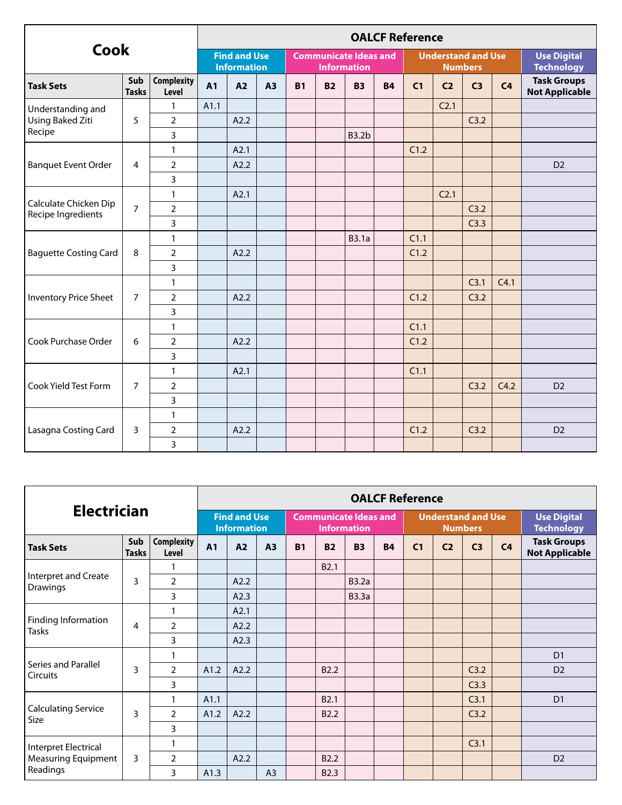|                                             |                     |                            | <b>OALCF Reference</b>                    |      |                |           |           |                                                    |           |                |                                             |                                         |                |                                             |  |
|---------------------------------------------|---------------------|----------------------------|-------------------------------------------|------|----------------|-----------|-----------|----------------------------------------------------|-----------|----------------|---------------------------------------------|-----------------------------------------|----------------|---------------------------------------------|--|
| <b>Cook</b>                                 |                     |                            | <b>Find and Use</b><br><b>Information</b> |      |                |           |           | <b>Communicate Ideas and</b><br><b>Information</b> |           |                | <b>Understand and Use</b><br><b>Numbers</b> | <b>Use Digital</b><br><b>Technology</b> |                |                                             |  |
| <b>Task Sets</b>                            | Sub<br><b>Tasks</b> | <b>Complexity</b><br>Level | <b>A1</b>                                 | A2   | A <sub>3</sub> | <b>B1</b> | <b>B2</b> | <b>B3</b>                                          | <b>B4</b> | C <sub>1</sub> | C <sub>2</sub>                              | C <sub>3</sub>                          | C <sub>4</sub> | <b>Task Groups</b><br><b>Not Applicable</b> |  |
| Understanding and                           |                     | 1                          | A1.1                                      |      |                |           |           |                                                    |           |                | C <sub>2.1</sub>                            |                                         |                |                                             |  |
| <b>Using Baked Ziti</b>                     | 5                   | $\overline{2}$             |                                           | A2.2 |                |           |           |                                                    |           |                |                                             | C3.2                                    |                |                                             |  |
| Recipe                                      |                     | 3                          |                                           |      |                |           |           | <b>B3.2b</b>                                       |           |                |                                             |                                         |                |                                             |  |
|                                             |                     | $\mathbf{1}$               |                                           | A2.1 |                |           |           |                                                    |           | C1.2           |                                             |                                         |                |                                             |  |
| <b>Banquet Event Order</b>                  | 4                   | $\overline{2}$             |                                           | A2.2 |                |           |           |                                                    |           |                |                                             |                                         |                | D <sub>2</sub>                              |  |
|                                             |                     | 3                          |                                           |      |                |           |           |                                                    |           |                |                                             |                                         |                |                                             |  |
| Calculate Chicken Dip<br>Recipe Ingredients |                     | $\mathbf{1}$               |                                           | A2.1 |                |           |           |                                                    |           |                | C <sub>2.1</sub>                            |                                         |                |                                             |  |
|                                             | $\overline{7}$      | $\overline{2}$             |                                           |      |                |           |           |                                                    |           |                |                                             | C3.2                                    |                |                                             |  |
|                                             |                     | 3                          |                                           |      |                |           |           |                                                    |           |                |                                             | C3.3                                    |                |                                             |  |
|                                             |                     | $\mathbf{1}$               |                                           |      |                |           |           | <b>B3.1a</b>                                       |           | C1.1           |                                             |                                         |                |                                             |  |
| <b>Baguette Costing Card</b>                | 8                   | $\overline{2}$             |                                           | A2.2 |                |           |           |                                                    |           | C1.2           |                                             |                                         |                |                                             |  |
|                                             |                     | 3                          |                                           |      |                |           |           |                                                    |           |                |                                             |                                         |                |                                             |  |
|                                             | $\overline{7}$      | $\mathbf{1}$               |                                           |      |                |           |           |                                                    |           |                |                                             | C <sub>3.1</sub>                        | C4.1           |                                             |  |
| <b>Inventory Price Sheet</b>                |                     | $\overline{2}$             |                                           | A2.2 |                |           |           |                                                    |           | C1.2           |                                             | C3.2                                    |                |                                             |  |
|                                             |                     | 3                          |                                           |      |                |           |           |                                                    |           |                |                                             |                                         |                |                                             |  |
|                                             |                     | $\mathbf{1}$               |                                           |      |                |           |           |                                                    |           | C1.1           |                                             |                                         |                |                                             |  |
| Cook Purchase Order                         | 6                   | $\overline{2}$             |                                           | A2.2 |                |           |           |                                                    |           | C1.2           |                                             |                                         |                |                                             |  |
|                                             |                     | 3                          |                                           |      |                |           |           |                                                    |           |                |                                             |                                         |                |                                             |  |
|                                             |                     | $\mathbf{1}$               |                                           | A2.1 |                |           |           |                                                    |           | C1.1           |                                             |                                         |                |                                             |  |
| Cook Yield Test Form                        | $\overline{7}$      | $\overline{2}$             |                                           |      |                |           |           |                                                    |           |                |                                             | C3.2                                    | C4.2           | D <sub>2</sub>                              |  |
|                                             |                     | 3                          |                                           |      |                |           |           |                                                    |           |                |                                             |                                         |                |                                             |  |
|                                             |                     | $\mathbf{1}$               |                                           |      |                |           |           |                                                    |           |                |                                             |                                         |                |                                             |  |
| Lasagna Costing Card                        | 3                   | $\overline{2}$             |                                           | A2.2 |                |           |           |                                                    |           | C1.2           |                                             | C3.2                                    |                | D <sub>2</sub>                              |  |
|                                             |                     | 3                          |                                           |      |                |           |           |                                                    |           |                |                                             |                                         |                |                                             |  |

|                                                                       |   |                |                                           | <b>OALCF Reference</b> |                |           |                  |                                                    |           |                |                                             |                                         |                |                                             |  |  |
|-----------------------------------------------------------------------|---|----------------|-------------------------------------------|------------------------|----------------|-----------|------------------|----------------------------------------------------|-----------|----------------|---------------------------------------------|-----------------------------------------|----------------|---------------------------------------------|--|--|
| <b>Electrician</b>                                                    |   |                | <b>Find and Use</b><br><b>Information</b> |                        |                |           |                  | <b>Communicate Ideas and</b><br><b>Information</b> |           |                | <b>Understand and Use</b><br><b>Numbers</b> | <b>Use Digital</b><br><b>Technology</b> |                |                                             |  |  |
| Sub<br><b>Complexity</b><br><b>Task Sets</b><br>Level<br><b>Tasks</b> |   |                | <b>A1</b>                                 | A2                     | A3             | <b>B1</b> | <b>B2</b>        | <b>B3</b>                                          | <b>B4</b> | C <sub>1</sub> | C <sub>2</sub>                              | C <sub>3</sub>                          | C <sub>4</sub> | <b>Task Groups</b><br><b>Not Applicable</b> |  |  |
|                                                                       |   |                |                                           |                        |                |           | B <sub>2.1</sub> |                                                    |           |                |                                             |                                         |                |                                             |  |  |
| Interpret and Create<br><b>Drawings</b>                               | 3 | $\overline{2}$ |                                           | A2.2                   |                |           |                  | <b>B3.2a</b>                                       |           |                |                                             |                                         |                |                                             |  |  |
|                                                                       |   | 3              |                                           | A2.3                   |                |           |                  | <b>B3.3a</b>                                       |           |                |                                             |                                         |                |                                             |  |  |
| Finding Information<br><b>Tasks</b>                                   | 4 |                |                                           | A2.1                   |                |           |                  |                                                    |           |                |                                             |                                         |                |                                             |  |  |
|                                                                       |   | $\overline{2}$ |                                           | A2.2                   |                |           |                  |                                                    |           |                |                                             |                                         |                |                                             |  |  |
|                                                                       |   | 3              |                                           | A2.3                   |                |           |                  |                                                    |           |                |                                             |                                         |                |                                             |  |  |
|                                                                       | 3 |                |                                           |                        |                |           |                  |                                                    |           |                |                                             |                                         |                | D <sub>1</sub>                              |  |  |
| Series and Parallel<br><b>Circuits</b>                                |   | $\overline{2}$ | A1.2                                      | A2.2                   |                |           | B <sub>2.2</sub> |                                                    |           |                |                                             | C3.2                                    |                | D <sub>2</sub>                              |  |  |
|                                                                       |   | 3              |                                           |                        |                |           |                  |                                                    |           |                |                                             | C3.3                                    |                |                                             |  |  |
|                                                                       |   | 1              | A1.1                                      |                        |                |           | B <sub>2.1</sub> |                                                    |           |                |                                             | C3.1                                    |                | D <sub>1</sub>                              |  |  |
| <b>Calculating Service</b><br>Size                                    | 3 | $\overline{2}$ | A1.2                                      | A2.2                   |                |           | B <sub>2.2</sub> |                                                    |           |                |                                             | C3.2                                    |                |                                             |  |  |
|                                                                       |   | 3              |                                           |                        |                |           |                  |                                                    |           |                |                                             |                                         |                |                                             |  |  |
| Interpret Electrical                                                  |   |                |                                           |                        |                |           |                  |                                                    |           |                |                                             | C3.1                                    |                |                                             |  |  |
| <b>Measuring Equipment</b>                                            | 3 | $\overline{2}$ |                                           | A2.2                   |                |           | B <sub>2.2</sub> |                                                    |           |                |                                             |                                         |                | D <sub>2</sub>                              |  |  |
| Readings                                                              |   | 3              | A1.3                                      |                        | A <sub>3</sub> |           | B <sub>2.3</sub> |                                                    |           |                |                                             |                                         |                |                                             |  |  |